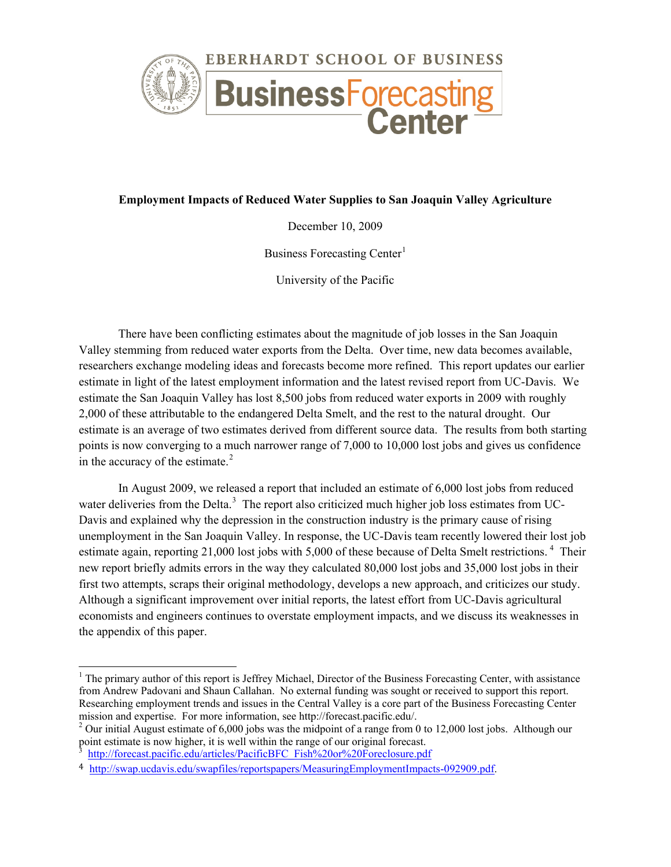

# **Employment Impacts of Reduced Water Supplies to San Joaquin Valley Agriculture**

December 10, 2009

Business Forecasting Center<sup>[1](#page-0-0)</sup>

University of the Pacific

There have been conflicting estimates about the magnitude of job losses in the San Joaquin Valley stemming from reduced water exports from the Delta. Over time, new data becomes available, researchers exchange modeling ideas and forecasts become more refined. This report updates our earlier estimate in light of the latest employment information and the latest revised report from UC-Davis. We estimate the San Joaquin Valley has lost 8,500 jobs from reduced water exports in 2009 with roughly 2,000 of these attributable to the endangered Delta Smelt, and the rest to the natural drought. Our estimate is an average of two estimates derived from different source data. The results from both starting points is now converging to a much narrower range of 7,000 to 10,000 lost jobs and gives us confidence in the accuracy of the estimate.<sup>[2](#page-0-1)</sup>

In August 2009, we released a report that included an estimate of 6,000 lost jobs from reduced water deliveries from the Delta.<sup>[3](#page-0-2)</sup> The report also criticized much higher job loss estimates from UC-Davis and explained why the depression in the construction industry is the primary cause of rising unemployment in the San Joaquin Valley. In response, the UC-Davis team recently lowered their lost job estimate again, reporting 21,000 lost jobs with 5,000 of these because of Delta Smelt restrictions.<sup>[4](#page-0-3)</sup> Their new report briefly admits errors in the way they calculated 80,000 lost jobs and 35,000 lost jobs in their first two attempts, scraps their original methodology, develops a new approach, and criticizes our study. Although a significant improvement over initial reports, the latest effort from UC-Davis agricultural economists and engineers continues to overstate employment impacts, and we discuss its weaknesses in the appendix of this paper.

<span id="page-0-0"></span> $<sup>1</sup>$  The primary author of this report is Jeffrey Michael, Director of the Business Forecasting Center, with assistance</sup> from Andrew Padovani and Shaun Callahan. No external funding was sought or received to support this report. Researching employment trends and issues in the Central Valley is a core part of the Business Forecasting Center mission and expertise. For more information, see http://forecast.pacific.edu/.

<span id="page-0-1"></span><sup>&</sup>lt;sup>2</sup> Our initial August estimate of 6,000 jobs was the midpoint of a range from 0 to 12,000 lost jobs. Although our point estimate is now higher, it is well within the range of our original forecast.

[http://forecast.pacific.edu/articles/PacificBFC\\_Fish%20or%20Foreclosure.pdf](http://forecast.pacific.edu/articles/PacificBFC_Fish%20or%20Foreclosure.pdf)

<span id="page-0-3"></span><span id="page-0-2"></span><sup>4</sup> [http://swap.ucdavis.edu/swapfiles/reportspapers/MeasuringEmploymentImpacts-092909.pdf.](http://swap.ucdavis.edu/swapfiles/reportspapers/MeasuringEmploymentImpacts-092909.pdf)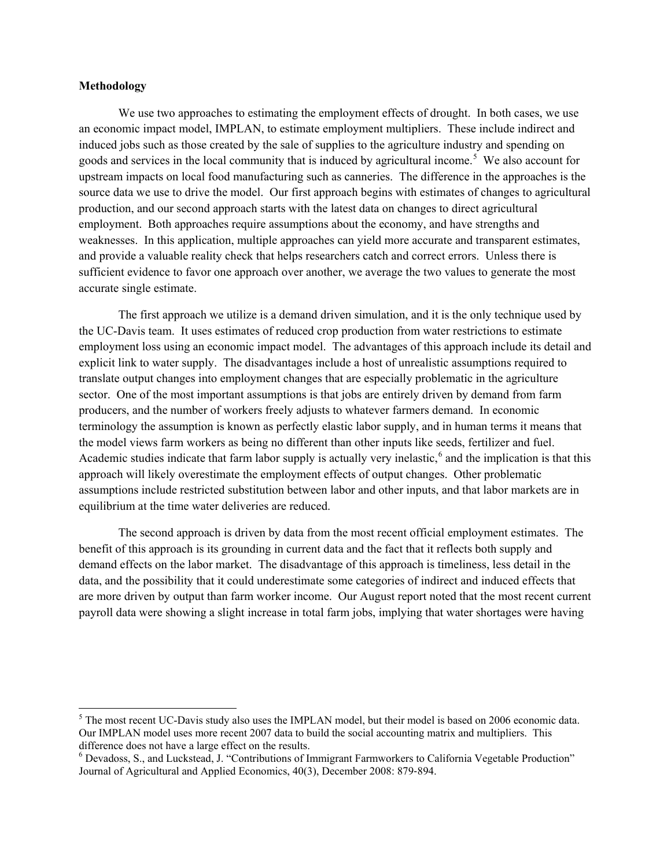## **Methodology**

We use two approaches to estimating the employment effects of drought. In both cases, we use an economic impact model, IMPLAN, to estimate employment multipliers. These include indirect and induced jobs such as those created by the sale of supplies to the agriculture industry and spending on goods and services in the local community that is induced by agricultural income. [5](#page-1-0) We also account for upstream impacts on local food manufacturing such as canneries. The difference in the approaches is the source data we use to drive the model. Our first approach begins with estimates of changes to agricultural production, and our second approach starts with the latest data on changes to direct agricultural employment. Both approaches require assumptions about the economy, and have strengths and weaknesses. In this application, multiple approaches can yield more accurate and transparent estimates, and provide a valuable reality check that helps researchers catch and correct errors. Unless there is sufficient evidence to favor one approach over another, we average the two values to generate the most accurate single estimate.

The first approach we utilize is a demand driven simulation, and it is the only technique used by the UC-Davis team. It uses estimates of reduced crop production from water restrictions to estimate employment loss using an economic impact model. The advantages of this approach include its detail and explicit link to water supply. The disadvantages include a host of unrealistic assumptions required to translate output changes into employment changes that are especially problematic in the agriculture sector. One of the most important assumptions is that jobs are entirely driven by demand from farm producers, and the number of workers freely adjusts to whatever farmers demand. In economic terminology the assumption is known as perfectly elastic labor supply, and in human terms it means that the model views farm workers as being no different than other inputs like seeds, fertilizer and fuel. Academic studies indicate that farm labor supply is actually very inelastic,<sup>[6](#page-1-1)</sup> and the implication is that this approach will likely overestimate the employment effects of output changes. Other problematic assumptions include restricted substitution between labor and other inputs, and that labor markets are in equilibrium at the time water deliveries are reduced.

The second approach is driven by data from the most recent official employment estimates. The benefit of this approach is its grounding in current data and the fact that it reflects both supply and demand effects on the labor market. The disadvantage of this approach is timeliness, less detail in the data, and the possibility that it could underestimate some categories of indirect and induced effects that are more driven by output than farm worker income. Our August report noted that the most recent current payroll data were showing a slight increase in total farm jobs, implying that water shortages were having

<span id="page-1-0"></span><sup>&</sup>lt;sup>5</sup> The most recent UC-Davis study also uses the IMPLAN model, but their model is based on 2006 economic data. Our IMPLAN model uses more recent 2007 data to build the social accounting matrix and multipliers. This

<span id="page-1-1"></span> $6$  Devadoss, S., and Luckstead, J. "Contributions of Immigrant Farmworkers to California Vegetable Production" Journal of Agricultural and Applied Economics, 40(3), December 2008: 879‐894.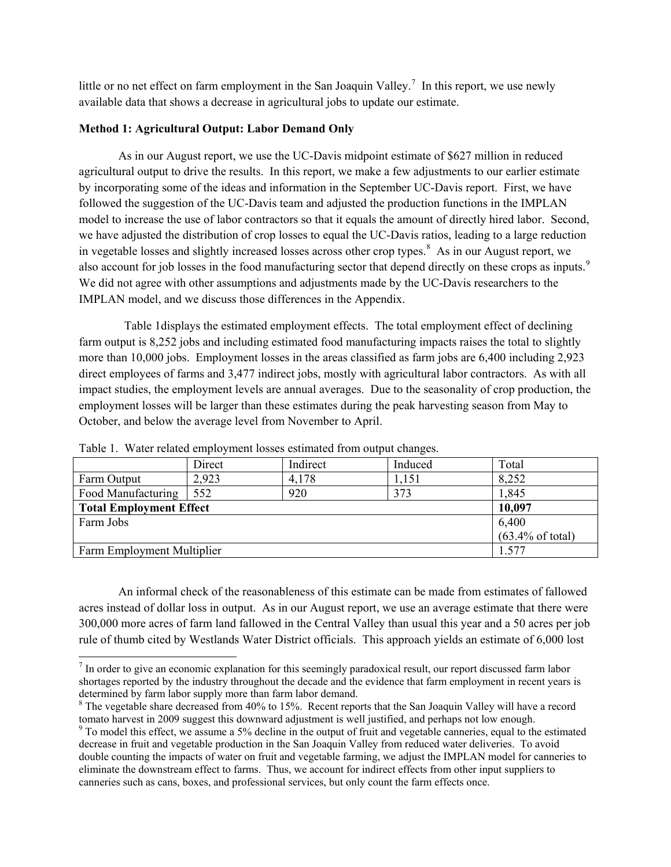little or no net effect on farm employment in the San Joaquin Valley.<sup>[7](#page-2-0)</sup> In this report, we use newly available data that shows a decrease in agricultural jobs to update our estimate.

# **Method 1: Agricultural Output: Labor Demand Only**

As in our August report, we use the UC-Davis midpoint estimate of \$627 million in reduced agricultural output to drive the results. In this report, we make a few adjustments to our earlier estimate by incorporating some of the ideas and information in the September UC-Davis report. First, we have followed the suggestion of the UC-Davis team and adjusted the production functions in the IMPLAN model to increase the use of labor contractors so that it equals the amount of directly hired labor. Second, we have adjusted the distribution of crop losses to equal the UC-Davis ratios, leading to a large reduction in vegetable losses and slightly increased losses across other crop types. [8](#page-2-1) As in our August report, we also account for job losses in the food manufacturing sector that depend directly on these crops as inputs.<sup>[9](#page-2-2)</sup> We did not agree with other assumptions and adjustments made by the UC-Davis researchers to the IMPLAN model, and we discuss those differences in the Appendix.

 Table 1displays the estimated employment effects. The total employment effect of declining farm output is 8,252 jobs and including estimated food manufacturing impacts raises the total to slightly more than 10,000 jobs. Employment losses in the areas classified as farm jobs are 6,400 including 2,923 direct employees of farms and 3,477 indirect jobs, mostly with agricultural labor contractors. As with all impact studies, the employment levels are annual averages. Due to the seasonality of crop production, the employment losses will be larger than these estimates during the peak harvesting season from May to October, and below the average level from November to April.

|                                | Direct                      | Indirect | Induced | Total |
|--------------------------------|-----------------------------|----------|---------|-------|
| Farm Output                    | 2,923                       | 4,178    | 1,151   | 8,252 |
| Food Manufacturing             | 552                         | 920      | 373     | 1,845 |
| <b>Total Employment Effect</b> | 10,097                      |          |         |       |
| Farm Jobs                      | 6,400                       |          |         |       |
|                                | $(63.4\% \text{ of total})$ |          |         |       |
| Farm Employment Multiplier     |                             |          |         |       |

Table 1. Water related employment losses estimated from output changes.

An informal check of the reasonableness of this estimate can be made from estimates of fallowed acres instead of dollar loss in output. As in our August report, we use an average estimate that there were 300,000 more acres of farm land fallowed in the Central Valley than usual this year and a 50 acres per job rule of thumb cited by Westlands Water District officials. This approach yields an estimate of 6,000 lost

<span id="page-2-0"></span> $<sup>7</sup>$  In order to give an economic explanation for this seemingly paradoxical result, our report discussed farm labor</sup> shortages reported by the industry throughout the decade and the evidence that farm employment in recent years is determined by farm labor supply more than farm labor demand.

<span id="page-2-1"></span><sup>&</sup>lt;sup>8</sup> The vegetable share decreased from 40% to 15%. Recent reports that the San Joaquin Valley will have a record tomato harvest in 2009 suggest this downward adjustment is well justified, and perhaps not low enough.

<span id="page-2-2"></span><sup>9</sup> To model this effect, we assume a 5% decline in the output of fruit and vegetable canneries, equal to the estimated decrease in fruit and vegetable production in the San Joaquin Valley from reduced water deliveries. To avoid double counting the impacts of water on fruit and vegetable farming, we adjust the IMPLAN model for canneries to eliminate the downstream effect to farms. Thus, we account for indirect effects from other input suppliers to canneries such as cans, boxes, and professional services, but only count the farm effects once.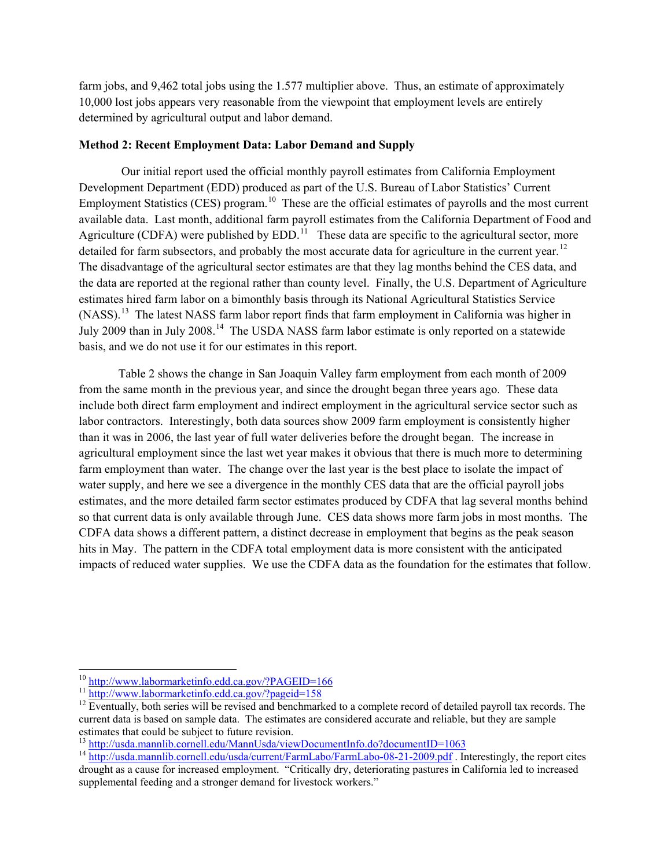farm jobs, and 9,462 total jobs using the 1.577 multiplier above. Thus, an estimate of approximately 10,000 lost jobs appears very reasonable from the viewpoint that employment levels are entirely determined by agricultural output and labor demand.

# **Method 2: Recent Employment Data: Labor Demand and Supply**

Our initial report used the official monthly payroll estimates from California Employment Development Department (EDD) produced as part of the U.S. Bureau of Labor Statistics' Current Employment Statistics (CES) program.<sup>10</sup> These are the official estimates of payrolls and the most current available data. Last month, additional farm payroll estimates from the California Department of Food and Agriculture (CDFA) were published by EDD.<sup>[11](#page-3-1)</sup> These data are specific to the agricultural sector, more detailed for farm subsectors, and probably the most accurate data for agriculture in the current year.<sup>12</sup> The disadvantage of the agricultural sector estimates are that they lag months behind the CES data, and the data are reported at the regional rather than county level. Finally, the U.S. Department of Agriculture estimates hired farm labor on a bimonthly basis through its National Agricultural Statistics Service (NASS).<sup>13</sup> The latest NASS farm labor report finds that farm employment in California was higher in July 2009 than in July 2008.<sup>[14](#page-3-4)</sup> The USDA NASS farm labor estimate is only reported on a statewide basis, and we do not use it for our estimates in this report.

Table 2 shows the change in San Joaquin Valley farm employment from each month of 2009 from the same month in the previous year, and since the drought began three years ago. These data include both direct farm employment and indirect employment in the agricultural service sector such as labor contractors. Interestingly, both data sources show 2009 farm employment is consistently higher than it was in 2006, the last year of full water deliveries before the drought began. The increase in agricultural employment since the last wet year makes it obvious that there is much more to determining farm employment than water. The change over the last year is the best place to isolate the impact of water supply, and here we see a divergence in the monthly CES data that are the official payroll jobs estimates, and the more detailed farm sector estimates produced by CDFA that lag several months behind so that current data is only available through June. CES data shows more farm jobs in most months. The CDFA data shows a different pattern, a distinct decrease in employment that begins as the peak season hits in May. The pattern in the CDFA total employment data is more consistent with the anticipated impacts of reduced water supplies. We use the CDFA data as the foundation for the estimates that follow.

<span id="page-3-2"></span>

<span id="page-3-1"></span><span id="page-3-0"></span><sup>&</sup>lt;sup>10</sup> <http://www.labormarketinfo.edd.ca.gov/?PAGEID=166><br><sup>11</sup> <http://www.labormarketinfo.edd.ca.gov/?pageid=158><br><sup>12</sup> Eventually, both series will be revised and benchmarked to a complete record of detailed payroll tax recor current data is based on sample data. The estimates are considered accurate and reliable, but they are sample estimates that could be subject to future revision.<br><sup>13</sup> http://usda.mannlib.cornell.edu/MannUsda/viewDocumentInfo.do?documentID=1063

<span id="page-3-4"></span><span id="page-3-3"></span><sup>&</sup>lt;sup>14</sup> <http://usda.mannlib.cornell.edu/usda/current/FarmLabo/FarmLabo-08-21-2009.pdf> . Interestingly, the report cites drought as a cause for increased employment. "Critically dry, deteriorating pastures in California led to increased supplemental feeding and a stronger demand for livestock workers."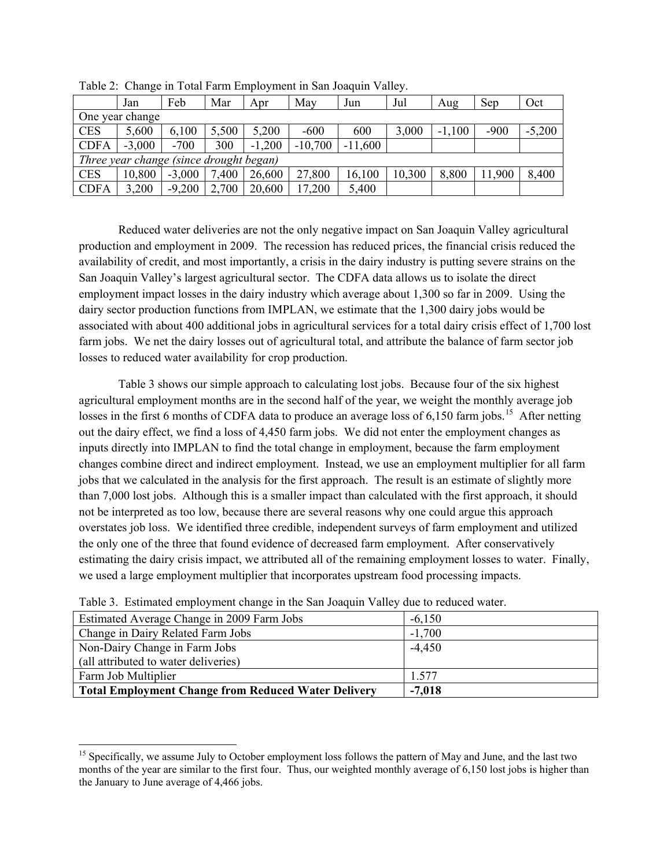|                                         | Jan      | Feb      | Mar   | Apr      | May       | Jun       | Jul    | Aug      | Sep    | Oct      |
|-----------------------------------------|----------|----------|-------|----------|-----------|-----------|--------|----------|--------|----------|
| One year change                         |          |          |       |          |           |           |        |          |        |          |
| <b>CES</b>                              | 5,600    | 6,100    | 5,500 | 5,200    | $-600$    | 600       | 3,000  | $-1,100$ | $-900$ | $-5,200$ |
| <b>CDFA</b>                             | $-3,000$ | $-700$   | 300   | $-1,200$ | $-10,700$ | $-11,600$ |        |          |        |          |
| Three year change (since drought began) |          |          |       |          |           |           |        |          |        |          |
| <b>CES</b>                              | 10,800   | $-3,000$ | 7,400 | 26,600   | 27,800    | 16,100    | 10,300 | 8,800    | 11,900 | 8,400    |
| <b>CDFA</b>                             | 3,200    | $-9,200$ | 2,700 | 20,600   | 17,200    | 5,400     |        |          |        |          |

Table 2: Change in Total Farm Employment in San Joaquin Valley.

Reduced water deliveries are not the only negative impact on San Joaquin Valley agricultural production and employment in 2009. The recession has reduced prices, the financial crisis reduced the availability of credit, and most importantly, a crisis in the dairy industry is putting severe strains on the San Joaquin Valley's largest agricultural sector. The CDFA data allows us to isolate the direct employment impact losses in the dairy industry which average about 1,300 so far in 2009. Using the dairy sector production functions from IMPLAN, we estimate that the 1,300 dairy jobs would be associated with about 400 additional jobs in agricultural services for a total dairy crisis effect of 1,700 lost farm jobs. We net the dairy losses out of agricultural total, and attribute the balance of farm sector job losses to reduced water availability for crop production.

Table 3 shows our simple approach to calculating lost jobs. Because four of the six highest agricultural employment months are in the second half of the year, we weight the monthly average job losses in the first 6 months of CDFA data to produce an average loss of  $6,150$  $6,150$  $6,150$  farm jobs.<sup>15</sup> After netting out the dairy effect, we find a loss of 4,450 farm jobs. We did not enter the employment changes as inputs directly into IMPLAN to find the total change in employment, because the farm employment changes combine direct and indirect employment. Instead, we use an employment multiplier for all farm jobs that we calculated in the analysis for the first approach. The result is an estimate of slightly more than 7,000 lost jobs. Although this is a smaller impact than calculated with the first approach, it should not be interpreted as too low, because there are several reasons why one could argue this approach overstates job loss. We identified three credible, independent surveys of farm employment and utilized the only one of the three that found evidence of decreased farm employment. After conservatively estimating the dairy crisis impact, we attributed all of the remaining employment losses to water. Finally, we used a large employment multiplier that incorporates upstream food processing impacts.

| Twore of Edminister employment enange in the bail coagain which was to rewarded water. |          |  |  |  |
|----------------------------------------------------------------------------------------|----------|--|--|--|
| Estimated Average Change in 2009 Farm Jobs                                             | $-6,150$ |  |  |  |
| Change in Dairy Related Farm Jobs                                                      | $-1,700$ |  |  |  |
| Non-Dairy Change in Farm Jobs                                                          | $-4,450$ |  |  |  |
| (all attributed to water deliveries)                                                   |          |  |  |  |
| Farm Job Multiplier                                                                    | 1.577    |  |  |  |
| <b>Total Employment Change from Reduced Water Delivery</b>                             | $-7,018$ |  |  |  |

Table 3. Estimated employment change in the San Joaquin Valley due to reduced water.

<span id="page-4-0"></span><sup>&</sup>lt;sup>15</sup> Specifically, we assume July to October employment loss follows the pattern of May and June, and the last two months of the year are similar to the first four. Thus, our weighted monthly average of 6,150 lost jobs is higher than the January to June average of 4,466 jobs.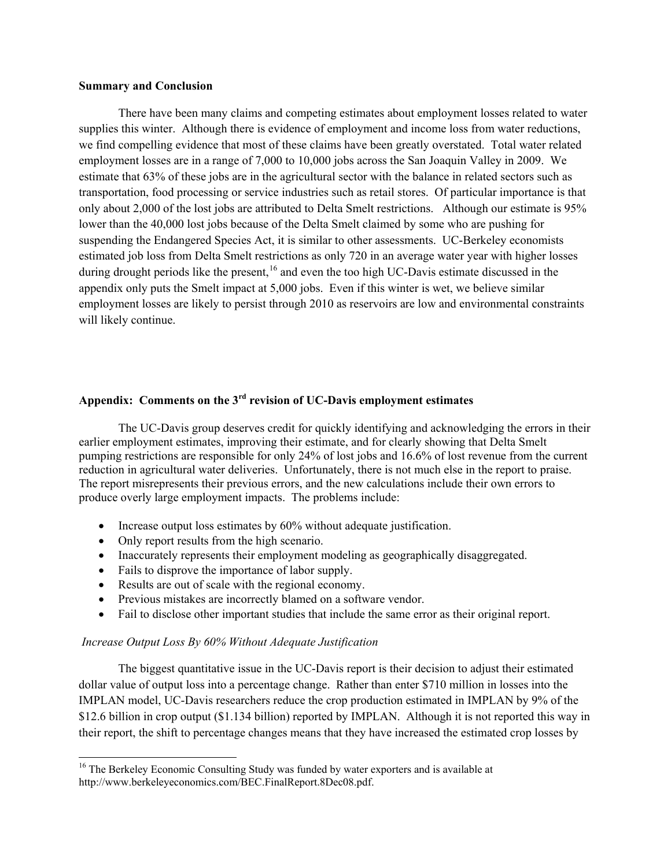### **Summary and Conclusion**

There have been many claims and competing estimates about employment losses related to water supplies this winter. Although there is evidence of employment and income loss from water reductions, we find compelling evidence that most of these claims have been greatly overstated. Total water related employment losses are in a range of 7,000 to 10,000 jobs across the San Joaquin Valley in 2009. We estimate that 63% of these jobs are in the agricultural sector with the balance in related sectors such as transportation, food processing or service industries such as retail stores. Of particular importance is that only about 2,000 of the lost jobs are attributed to Delta Smelt restrictions. Although our estimate is 95% lower than the 40,000 lost jobs because of the Delta Smelt claimed by some who are pushing for suspending the Endangered Species Act, it is similar to other assessments. UC-Berkeley economists estimated job loss from Delta Smelt restrictions as only 720 in an average water year with higher losses during drought periods like the present, <sup>[16](#page-5-0)</sup> and even the too high UC-Davis estimate discussed in the appendix only puts the Smelt impact at 5,000 jobs. Even if this winter is wet, we believe similar employment losses are likely to persist through 2010 as reservoirs are low and environmental constraints will likely continue.

# **Appendix: Comments on the 3rd revision of UC-Davis employment estimates**

The UC-Davis group deserves credit for quickly identifying and acknowledging the errors in their earlier employment estimates, improving their estimate, and for clearly showing that Delta Smelt pumping restrictions are responsible for only 24% of lost jobs and 16.6% of lost revenue from the current reduction in agricultural water deliveries. Unfortunately, there is not much else in the report to praise. The report misrepresents their previous errors, and the new calculations include their own errors to produce overly large employment impacts. The problems include:

- Increase output loss estimates by 60% without adequate justification.
- Only report results from the high scenario.
- Inaccurately represents their employment modeling as geographically disaggregated.
- Fails to disprove the importance of labor supply.
- Results are out of scale with the regional economy.
- Previous mistakes are incorrectly blamed on a software vendor.
- Fail to disclose other important studies that include the same error as their original report.

## *Increase Output Loss By 60% Without Adequate Justification*

The biggest quantitative issue in the UC-Davis report is their decision to adjust their estimated dollar value of output loss into a percentage change. Rather than enter \$710 million in losses into the IMPLAN model, UC-Davis researchers reduce the crop production estimated in IMPLAN by 9% of the \$12.6 billion in crop output (\$1.134 billion) reported by IMPLAN. Although it is not reported this way in their report, the shift to percentage changes means that they have increased the estimated crop losses by

<span id="page-5-0"></span><sup>&</sup>lt;sup>16</sup> The Berkeley Economic Consulting Study was funded by water exporters and is available at http://www.berkeleyeconomics.com/BEC.FinalReport.8Dec08.pdf.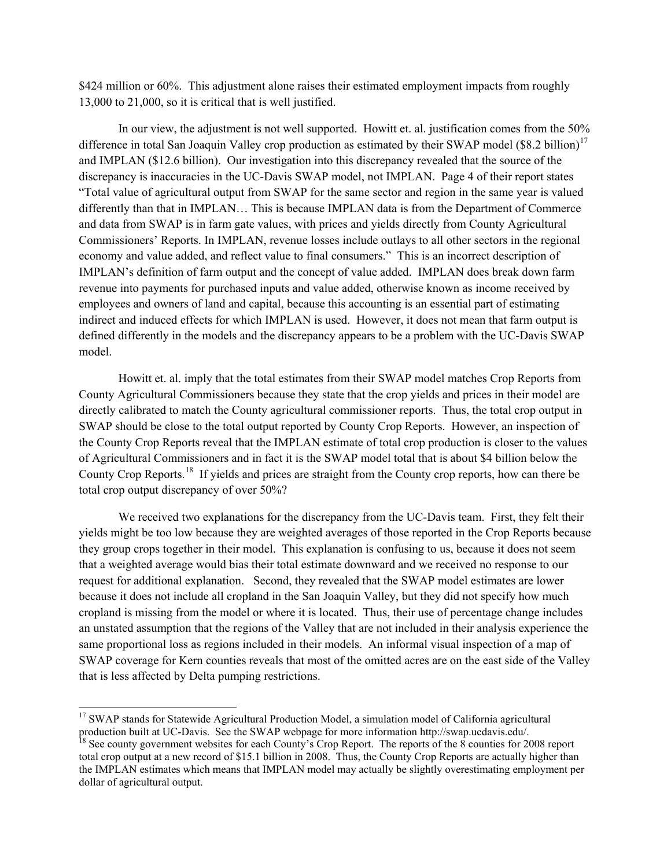\$424 million or 60%. This adjustment alone raises their estimated employment impacts from roughly 13,000 to 21,000, so it is critical that is well justified.

In our view, the adjustment is not well supported. Howitt et. al. justification comes from the 50% difference in total San Joaquin Valley crop production as estimated by their SWAP model (\$8.2 billion)<sup>[17](#page-6-0)</sup> and IMPLAN (\$12.6 billion). Our investigation into this discrepancy revealed that the source of the discrepancy is inaccuracies in the UC-Davis SWAP model, not IMPLAN. Page 4 of their report states "Total value of agricultural output from SWAP for the same sector and region in the same year is valued differently than that in IMPLAN… This is because IMPLAN data is from the Department of Commerce and data from SWAP is in farm gate values, with prices and yields directly from County Agricultural Commissioners' Reports. In IMPLAN, revenue losses include outlays to all other sectors in the regional economy and value added, and reflect value to final consumers." This is an incorrect description of IMPLAN's definition of farm output and the concept of value added. IMPLAN does break down farm revenue into payments for purchased inputs and value added, otherwise known as income received by employees and owners of land and capital, because this accounting is an essential part of estimating indirect and induced effects for which IMPLAN is used. However, it does not mean that farm output is defined differently in the models and the discrepancy appears to be a problem with the UC-Davis SWAP model.

Howitt et. al. imply that the total estimates from their SWAP model matches Crop Reports from County Agricultural Commissioners because they state that the crop yields and prices in their model are directly calibrated to match the County agricultural commissioner reports. Thus, the total crop output in SWAP should be close to the total output reported by County Crop Reports. However, an inspection of the County Crop Reports reveal that the IMPLAN estimate of total crop production is closer to the values of Agricultural Commissioners and in fact it is the SWAP model total that is about \$4 billion below the County Crop Reports.<sup>[18](#page-6-1)</sup> If yields and prices are straight from the County crop reports, how can there be total crop output discrepancy of over 50%?

We received two explanations for the discrepancy from the UC-Davis team. First, they felt their yields might be too low because they are weighted averages of those reported in the Crop Reports because they group crops together in their model. This explanation is confusing to us, because it does not seem that a weighted average would bias their total estimate downward and we received no response to our request for additional explanation. Second, they revealed that the SWAP model estimates are lower because it does not include all cropland in the San Joaquin Valley, but they did not specify how much cropland is missing from the model or where it is located. Thus, their use of percentage change includes an unstated assumption that the regions of the Valley that are not included in their analysis experience the same proportional loss as regions included in their models. An informal visual inspection of a map of SWAP coverage for Kern counties reveals that most of the omitted acres are on the east side of the Valley that is less affected by Delta pumping restrictions.

<sup>&</sup>lt;sup>17</sup> SWAP stands for Statewide Agricultural Production Model, a simulation model of California agricultural

<span id="page-6-1"></span><span id="page-6-0"></span>production built at UC-Davis. See the SWAP webpage for more information http://swap.ucdavis.edu/.<br><sup>18</sup> See county government websites for each County's Crop Report. The reports of the 8 counties for 2008 report total crop output at a new record of \$15.1 billion in 2008. Thus, the County Crop Reports are actually higher than the IMPLAN estimates which means that IMPLAN model may actually be slightly overestimating employment per dollar of agricultural output.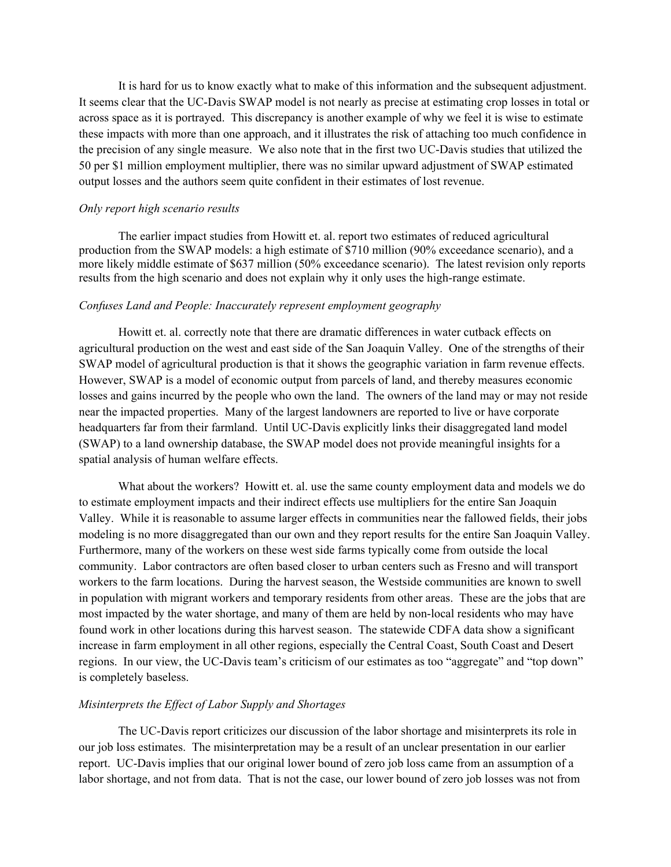It is hard for us to know exactly what to make of this information and the subsequent adjustment. It seems clear that the UC-Davis SWAP model is not nearly as precise at estimating crop losses in total or across space as it is portrayed. This discrepancy is another example of why we feel it is wise to estimate these impacts with more than one approach, and it illustrates the risk of attaching too much confidence in the precision of any single measure. We also note that in the first two UC-Davis studies that utilized the 50 per \$1 million employment multiplier, there was no similar upward adjustment of SWAP estimated output losses and the authors seem quite confident in their estimates of lost revenue.

### *Only report high scenario results*

The earlier impact studies from Howitt et. al. report two estimates of reduced agricultural production from the SWAP models: a high estimate of \$710 million (90% exceedance scenario), and a more likely middle estimate of \$637 million (50% exceedance scenario). The latest revision only reports results from the high scenario and does not explain why it only uses the high-range estimate.

#### *Confuses Land and People: Inaccurately represent employment geography*

Howitt et. al. correctly note that there are dramatic differences in water cutback effects on agricultural production on the west and east side of the San Joaquin Valley. One of the strengths of their SWAP model of agricultural production is that it shows the geographic variation in farm revenue effects. However, SWAP is a model of economic output from parcels of land, and thereby measures economic losses and gains incurred by the people who own the land. The owners of the land may or may not reside near the impacted properties. Many of the largest landowners are reported to live or have corporate headquarters far from their farmland. Until UC-Davis explicitly links their disaggregated land model (SWAP) to a land ownership database, the SWAP model does not provide meaningful insights for a spatial analysis of human welfare effects.

What about the workers? Howitt et. al. use the same county employment data and models we do to estimate employment impacts and their indirect effects use multipliers for the entire San Joaquin Valley. While it is reasonable to assume larger effects in communities near the fallowed fields, their jobs modeling is no more disaggregated than our own and they report results for the entire San Joaquin Valley. Furthermore, many of the workers on these west side farms typically come from outside the local community. Labor contractors are often based closer to urban centers such as Fresno and will transport workers to the farm locations. During the harvest season, the Westside communities are known to swell in population with migrant workers and temporary residents from other areas. These are the jobs that are most impacted by the water shortage, and many of them are held by non-local residents who may have found work in other locations during this harvest season. The statewide CDFA data show a significant increase in farm employment in all other regions, especially the Central Coast, South Coast and Desert regions. In our view, the UC-Davis team's criticism of our estimates as too "aggregate" and "top down" is completely baseless.

# *Misinterprets the Effect of Labor Supply and Shortages*

The UC-Davis report criticizes our discussion of the labor shortage and misinterprets its role in our job loss estimates. The misinterpretation may be a result of an unclear presentation in our earlier report. UC-Davis implies that our original lower bound of zero job loss came from an assumption of a labor shortage, and not from data. That is not the case, our lower bound of zero job losses was not from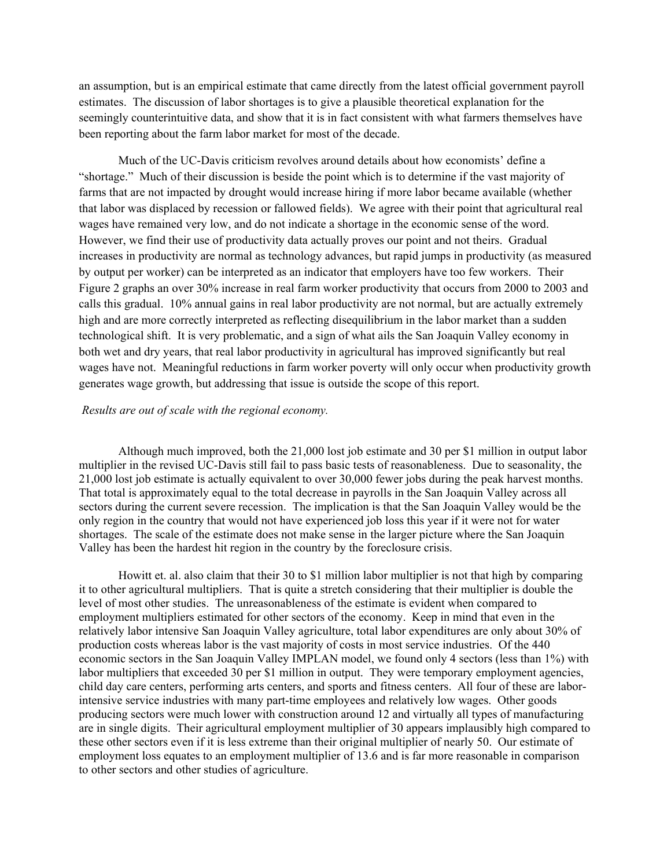an assumption, but is an empirical estimate that came directly from the latest official government payroll estimates. The discussion of labor shortages is to give a plausible theoretical explanation for the seemingly counterintuitive data, and show that it is in fact consistent with what farmers themselves have been reporting about the farm labor market for most of the decade.

Much of the UC-Davis criticism revolves around details about how economists' define a "shortage." Much of their discussion is beside the point which is to determine if the vast majority of farms that are not impacted by drought would increase hiring if more labor became available (whether that labor was displaced by recession or fallowed fields). We agree with their point that agricultural real wages have remained very low, and do not indicate a shortage in the economic sense of the word. However, we find their use of productivity data actually proves our point and not theirs. Gradual increases in productivity are normal as technology advances, but rapid jumps in productivity (as measured by output per worker) can be interpreted as an indicator that employers have too few workers. Their Figure 2 graphs an over 30% increase in real farm worker productivity that occurs from 2000 to 2003 and calls this gradual. 10% annual gains in real labor productivity are not normal, but are actually extremely high and are more correctly interpreted as reflecting disequilibrium in the labor market than a sudden technological shift. It is very problematic, and a sign of what ails the San Joaquin Valley economy in both wet and dry years, that real labor productivity in agricultural has improved significantly but real wages have not. Meaningful reductions in farm worker poverty will only occur when productivity growth generates wage growth, but addressing that issue is outside the scope of this report.

## *Results are out of scale with the regional economy.*

Although much improved, both the 21,000 lost job estimate and 30 per \$1 million in output labor multiplier in the revised UC-Davis still fail to pass basic tests of reasonableness. Due to seasonality, the 21,000 lost job estimate is actually equivalent to over 30,000 fewer jobs during the peak harvest months. That total is approximately equal to the total decrease in payrolls in the San Joaquin Valley across all sectors during the current severe recession. The implication is that the San Joaquin Valley would be the only region in the country that would not have experienced job loss this year if it were not for water shortages. The scale of the estimate does not make sense in the larger picture where the San Joaquin Valley has been the hardest hit region in the country by the foreclosure crisis.

Howitt et. al. also claim that their 30 to \$1 million labor multiplier is not that high by comparing it to other agricultural multipliers. That is quite a stretch considering that their multiplier is double the level of most other studies. The unreasonableness of the estimate is evident when compared to employment multipliers estimated for other sectors of the economy. Keep in mind that even in the relatively labor intensive San Joaquin Valley agriculture, total labor expenditures are only about 30% of production costs whereas labor is the vast majority of costs in most service industries. Of the 440 economic sectors in the San Joaquin Valley IMPLAN model, we found only 4 sectors (less than 1%) with labor multipliers that exceeded 30 per \$1 million in output. They were temporary employment agencies, child day care centers, performing arts centers, and sports and fitness centers. All four of these are laborintensive service industries with many part-time employees and relatively low wages. Other goods producing sectors were much lower with construction around 12 and virtually all types of manufacturing are in single digits. Their agricultural employment multiplier of 30 appears implausibly high compared to these other sectors even if it is less extreme than their original multiplier of nearly 50. Our estimate of employment loss equates to an employment multiplier of 13.6 and is far more reasonable in comparison to other sectors and other studies of agriculture.